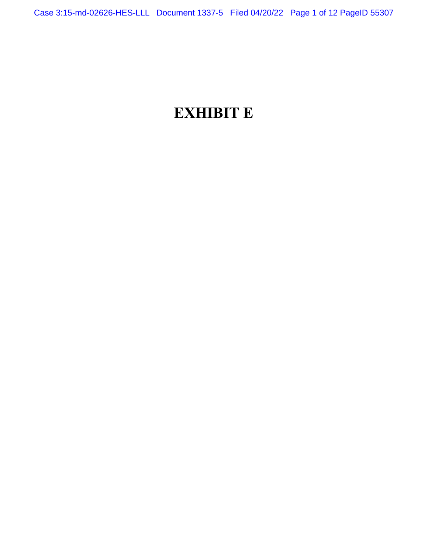# **EXHIBIT E**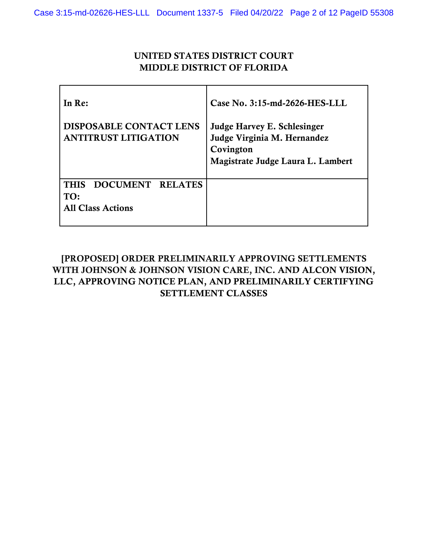## UNITED STATES DISTRICT COURT MIDDLE DISTRICT OF FLORIDA

| In Re:                                                                              | Case No. 3:15-md-2626-HES-LLL                                                                                       |
|-------------------------------------------------------------------------------------|---------------------------------------------------------------------------------------------------------------------|
| <b>DISPOSABLE CONTACT LENS</b><br><b>ANTITRUST LITIGATION</b>                       | <b>Judge Harvey E. Schlesinger</b><br>Judge Virginia M. Hernandez<br>Covington<br>Magistrate Judge Laura L. Lambert |
| <b>DOCUMENT</b><br><b>RELATES</b><br><b>THIS</b><br>TO:<br><b>All Class Actions</b> |                                                                                                                     |

# [PROPOSED] ORDER PRELIMINARILY APPROVING SETTLEMENTS WITH JOHNSON & JOHNSON VISION CARE, INC. AND ALCON VISION, LLC, APPROVING NOTICE PLAN, AND PRELIMINARILY CERTIFYING SETTLEMENT CLASSES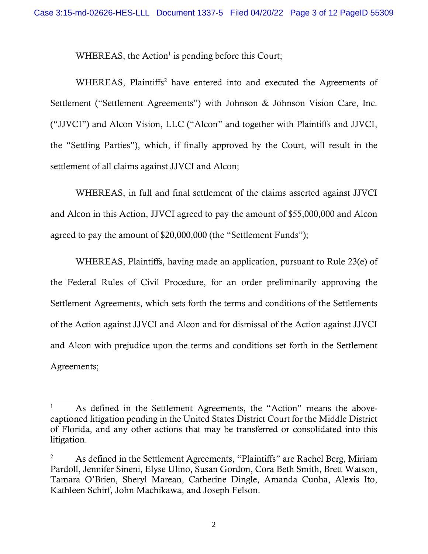$WHEREAS$ , the Action<sup>1</sup> is pending before this Court;

WHEREAS, Plaintiffs<sup>2</sup> have entered into and executed the Agreements of Settlement ("Settlement Agreements") with Johnson & Johnson Vision Care, Inc. ("JJVCI") and Alcon Vision, LLC ("Alcon" and together with Plaintiffs and JJVCI, the "Settling Parties"), which, if finally approved by the Court, will result in the settlement of all claims against JJVCI and Alcon;

WHEREAS, in full and final settlement of the claims asserted against JJVCI and Alcon in this Action, JJVCI agreed to pay the amount of \$55,000,000 and Alcon agreed to pay the amount of \$20,000,000 (the "Settlement Funds");

WHEREAS, Plaintiffs, having made an application, pursuant to Rule 23(e) of the Federal Rules of Civil Procedure, for an order preliminarily approving the Settlement Agreements, which sets forth the terms and conditions of the Settlements of the Action against JJVCI and Alcon and for dismissal of the Action against JJVCI and Alcon with prejudice upon the terms and conditions set forth in the Settlement Agreements;

<sup>1</sup> As defined in the Settlement Agreements, the "Action" means the abovecaptioned litigation pending in the United States District Court for the Middle District of Florida, and any other actions that may be transferred or consolidated into this litigation.

<sup>&</sup>lt;sup>2</sup> As defined in the Settlement Agreements, "Plaintiffs" are Rachel Berg, Miriam Pardoll, Jennifer Sineni, Elyse Ulino, Susan Gordon, Cora Beth Smith, Brett Watson, Tamara O'Brien, Sheryl Marean, Catherine Dingle, Amanda Cunha, Alexis Ito, Kathleen Schirf, John Machikawa, and Joseph Felson.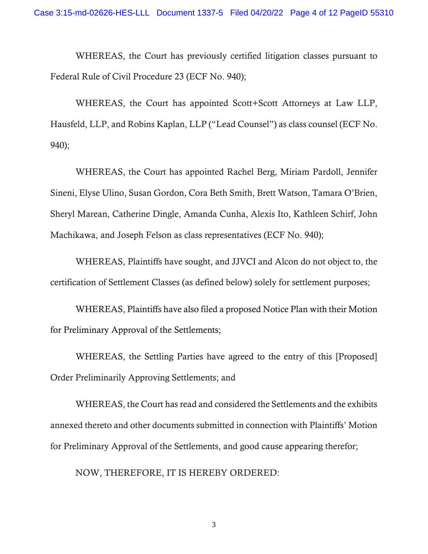WHEREAS, the Court has previously certified litigation classes pursuant to Federal Rule of Civil Procedure 23 (ECF No. 940);

WHEREAS, the Court has appointed Scott+Scott Attorneys at Law LLP, Hausfeld, LLP, and Robins Kaplan, LLP ("Lead Counsel") as class counsel (ECF No. 940);

WHEREAS, the Court has appointed Rachel Berg, Miriam Pardoll, Jennifer Sineni, Elyse Ulino, Susan Gordon, Cora Beth Smith, Brett Watson, Tamara O'Brien, Sheryl Marean, Catherine Dingle, Amanda Cunha, Alexis Ito, Kathleen Schirf, John Machikawa, and Joseph Felson as class representatives (ECF No. 940);

WHEREAS, Plaintiffs have sought, and JJVCI and Alcon do not object to, the certification of Settlement Classes (as defined below) solely for settlement purposes;

WHEREAS, Plaintiffs have also filed a proposed Notice Plan with their Motion for Preliminary Approval of the Settlements;

WHEREAS, the Settling Parties have agreed to the entry of this [Proposed] Order Preliminarily Approving Settlements; and

WHEREAS, the Court has read and considered the Settlements and the exhibits annexed thereto and other documents submitted in connection with Plaintiffs' Motion for Preliminary Approval of the Settlements, and good cause appearing therefor;

NOW, THEREFORE, IT IS HEREBY ORDERED: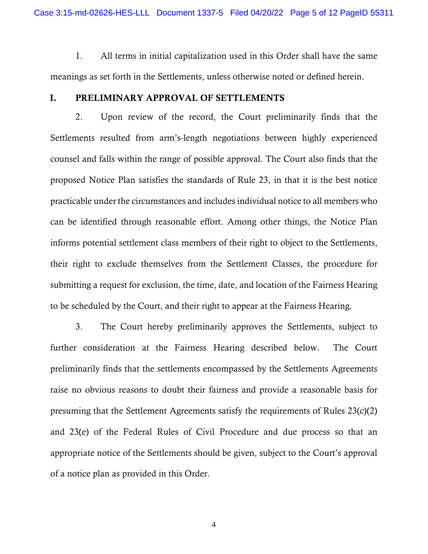1. All terms in initial capitalization used in this Order shall have the same meanings as set forth in the Settlements, unless otherwise noted or defined herein.

#### I. PRELIMINARY APPROVAL OF SETTLEMENTS

2. Upon review of the record, the Court preliminarily finds that the Settlements resulted from arm's-length negotiations between highly experienced counsel and falls within the range of possible approval. The Court also finds that the proposed Notice Plan satisfies the standards of Rule 23, in that it is the best notice practicable under the circumstances and includes individual notice to all members who can be identified through reasonable effort. Among other things, the Notice Plan informs potential settlement class members of their right to object to the Settlements, their right to exclude themselves from the Settlement Classes, the procedure for submitting a request for exclusion, the time, date, and location of the Fairness Hearing to be scheduled by the Court, and their right to appear at the Fairness Hearing.

3. The Court hereby preliminarily approves the Settlements, subject to further consideration at the Fairness Hearing described below. The Court preliminarily finds that the settlements encompassed by the Settlements Agreements raise no obvious reasons to doubt their fairness and provide a reasonable basis for presuming that the Settlement Agreements satisfy the requirements of Rules 23(c)(2) and 23(e) of the Federal Rules of Civil Procedure and due process so that an appropriate notice of the Settlements should be given, subject to the Court's approval of a notice plan as provided in this Order.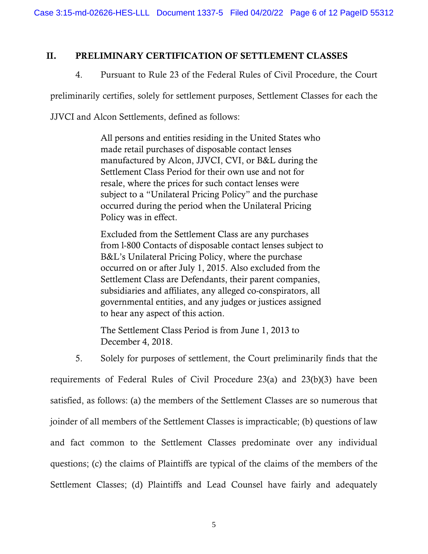#### II. PRELIMINARY CERTIFICATION OF SETTLEMENT CLASSES

### 4. Pursuant to Rule 23 of the Federal Rules of Civil Procedure, the Court

preliminarily certifies, solely for settlement purposes, Settlement Classes for each the

JJVCI and Alcon Settlements, defined as follows:

All persons and entities residing in the United States who made retail purchases of disposable contact lenses manufactured by Alcon, JJVCI, CVI, or B&L during the Settlement Class Period for their own use and not for resale, where the prices for such contact lenses were subject to a "Unilateral Pricing Policy" and the purchase occurred during the period when the Unilateral Pricing Policy was in effect.

Excluded from the Settlement Class are any purchases from l-800 Contacts of disposable contact lenses subject to B&L's Unilateral Pricing Policy, where the purchase occurred on or after July 1, 2015. Also excluded from the Settlement Class are Defendants, their parent companies, subsidiaries and affiliates, any alleged co-conspirators, all governmental entities, and any judges or justices assigned to hear any aspect of this action.

The Settlement Class Period is from June 1, 2013 to December 4, 2018.

5. Solely for purposes of settlement, the Court preliminarily finds that the requirements of Federal Rules of Civil Procedure 23(a) and 23(b)(3) have been satisfied, as follows: (a) the members of the Settlement Classes are so numerous that joinder of all members of the Settlement Classes is impracticable; (b) questions of law and fact common to the Settlement Classes predominate over any individual questions; (c) the claims of Plaintiffs are typical of the claims of the members of the Settlement Classes; (d) Plaintiffs and Lead Counsel have fairly and adequately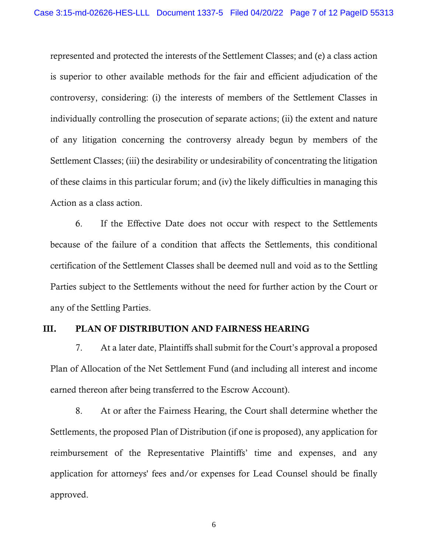represented and protected the interests of the Settlement Classes; and (e) a class action is superior to other available methods for the fair and efficient adjudication of the controversy, considering: (i) the interests of members of the Settlement Classes in individually controlling the prosecution of separate actions; (ii) the extent and nature of any litigation concerning the controversy already begun by members of the Settlement Classes; (iii) the desirability or undesirability of concentrating the litigation of these claims in this particular forum; and (iv) the likely difficulties in managing this Action as a class action.

6. If the Effective Date does not occur with respect to the Settlements because of the failure of a condition that affects the Settlements, this conditional certification of the Settlement Classes shall be deemed null and void as to the Settling Parties subject to the Settlements without the need for further action by the Court or any of the Settling Parties.

#### III. PLAN OF DISTRIBUTION AND FAIRNESS HEARING

7. At a later date, Plaintiffs shall submit for the Court's approval a proposed Plan of Allocation of the Net Settlement Fund (and including all interest and income earned thereon after being transferred to the Escrow Account).

8. At or after the Fairness Hearing, the Court shall determine whether the Settlements, the proposed Plan of Distribution (if one is proposed), any application for reimbursement of the Representative Plaintiffs' time and expenses, and any application for attorneys' fees and/or expenses for Lead Counsel should be finally approved.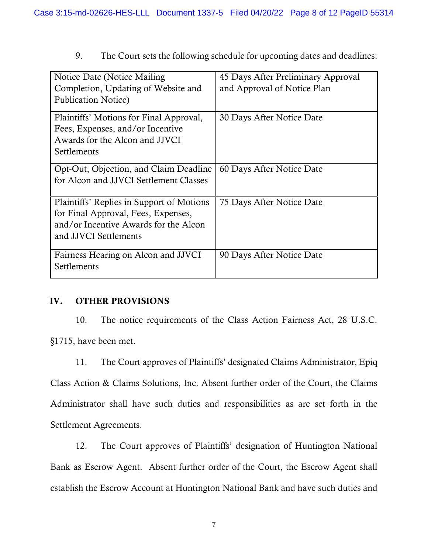9. The Court sets the following schedule for upcoming dates and deadlines:

| Notice Date (Notice Mailing)<br>Completion, Updating of Website and<br><b>Publication Notice</b> )                                                 | 45 Days After Preliminary Approval<br>and Approval of Notice Plan |
|----------------------------------------------------------------------------------------------------------------------------------------------------|-------------------------------------------------------------------|
| Plaintiffs' Motions for Final Approval,<br>Fees, Expenses, and/or Incentive<br>Awards for the Alcon and JJVCI<br>Settlements                       | 30 Days After Notice Date                                         |
| Opt-Out, Objection, and Claim Deadline<br>for Alcon and JJVCI Settlement Classes                                                                   | 60 Days After Notice Date                                         |
| Plaintiffs' Replies in Support of Motions<br>for Final Approval, Fees, Expenses,<br>and/or Incentive Awards for the Alcon<br>and JJVCI Settlements | 75 Days After Notice Date                                         |
| Fairness Hearing on Alcon and JJVCI<br>Settlements                                                                                                 | 90 Days After Notice Date                                         |

## IV. OTHER PROVISIONS

10. The notice requirements of the Class Action Fairness Act, 28 U.S.C. §1715, have been met.

11. The Court approves of Plaintiffs' designated Claims Administrator, Epiq Class Action & Claims Solutions, Inc. Absent further order of the Court, the Claims Administrator shall have such duties and responsibilities as are set forth in the Settlement Agreements.

12. The Court approves of Plaintiffs' designation of Huntington National Bank as Escrow Agent. Absent further order of the Court, the Escrow Agent shall establish the Escrow Account at Huntington National Bank and have such duties and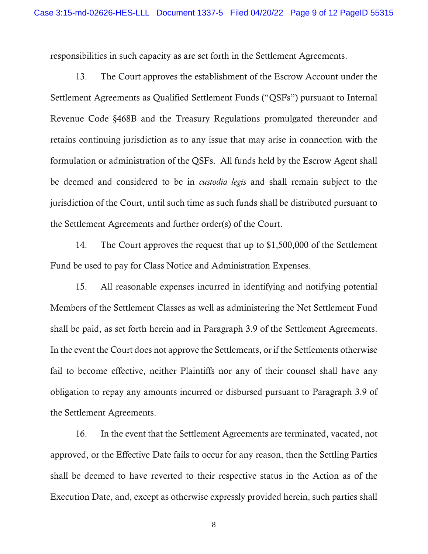responsibilities in such capacity as are set forth in the Settlement Agreements.

13. The Court approves the establishment of the Escrow Account under the Settlement Agreements as Qualified Settlement Funds ("QSFs") pursuant to Internal Revenue Code §468B and the Treasury Regulations promulgated thereunder and retains continuing jurisdiction as to any issue that may arise in connection with the formulation or administration of the QSFs. All funds held by the Escrow Agent shall be deemed and considered to be in *custodia legis* and shall remain subject to the jurisdiction of the Court, until such time as such funds shall be distributed pursuant to the Settlement Agreements and further order(s) of the Court.

14. The Court approves the request that up to \$1,500,000 of the Settlement Fund be used to pay for Class Notice and Administration Expenses.

15. All reasonable expenses incurred in identifying and notifying potential Members of the Settlement Classes as well as administering the Net Settlement Fund shall be paid, as set forth herein and in Paragraph 3.9 of the Settlement Agreements. In the event the Court does not approve the Settlements, or if the Settlements otherwise fail to become effective, neither Plaintiffs nor any of their counsel shall have any obligation to repay any amounts incurred or disbursed pursuant to Paragraph 3.9 of the Settlement Agreements.

16. In the event that the Settlement Agreements are terminated, vacated, not approved, or the Effective Date fails to occur for any reason, then the Settling Parties shall be deemed to have reverted to their respective status in the Action as of the Execution Date, and, except as otherwise expressly provided herein, such parties shall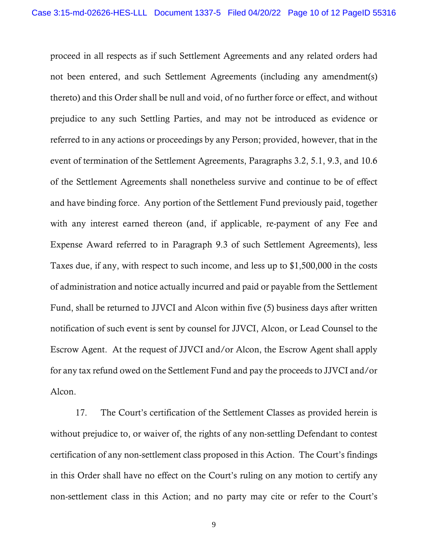proceed in all respects as if such Settlement Agreements and any related orders had not been entered, and such Settlement Agreements (including any amendment(s) thereto) and this Order shall be null and void, of no further force or effect, and without prejudice to any such Settling Parties, and may not be introduced as evidence or referred to in any actions or proceedings by any Person; provided, however, that in the event of termination of the Settlement Agreements, Paragraphs 3.2, 5.1, 9.3, and 10.6 of the Settlement Agreements shall nonetheless survive and continue to be of effect and have binding force. Any portion of the Settlement Fund previously paid, together with any interest earned thereon (and, if applicable, re-payment of any Fee and Expense Award referred to in Paragraph 9.3 of such Settlement Agreements), less Taxes due, if any, with respect to such income, and less up to \$1,500,000 in the costs of administration and notice actually incurred and paid or payable from the Settlement Fund, shall be returned to JJVCI and Alcon within five (5) business days after written notification of such event is sent by counsel for JJVCI, Alcon, or Lead Counsel to the Escrow Agent. At the request of JJVCI and/or Alcon, the Escrow Agent shall apply for any tax refund owed on the Settlement Fund and pay the proceeds to JJVCI and/or Alcon.

17. The Court's certification of the Settlement Classes as provided herein is without prejudice to, or waiver of, the rights of any non-settling Defendant to contest certification of any non-settlement class proposed in this Action. The Court's findings in this Order shall have no effect on the Court's ruling on any motion to certify any non-settlement class in this Action; and no party may cite or refer to the Court's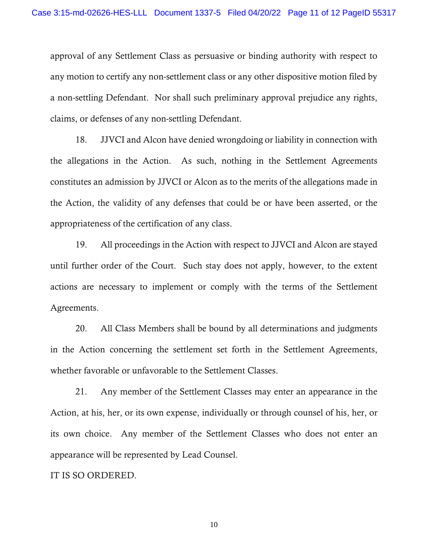approval of any Settlement Class as persuasive or binding authority with respect to any motion to certify any non-settlement class or any other dispositive motion filed by a non-settling Defendant. Nor shall such preliminary approval prejudice any rights, claims, or defenses of any non-settling Defendant.

18. JJVCI and Alcon have denied wrongdoing or liability in connection with the allegations in the Action. As such, nothing in the Settlement Agreements constitutes an admission by JJVCI or Alcon as to the merits of the allegations made in the Action, the validity of any defenses that could be or have been asserted, or the appropriateness of the certification of any class.

19. All proceedings in the Action with respect to JJVCI and Alcon are stayed until further order of the Court. Such stay does not apply, however, to the extent actions are necessary to implement or comply with the terms of the Settlement Agreements.

20. All Class Members shall be bound by all determinations and judgments in the Action concerning the settlement set forth in the Settlement Agreements, whether favorable or unfavorable to the Settlement Classes.

21. Any member of the Settlement Classes may enter an appearance in the Action, at his, her, or its own expense, individually or through counsel of his, her, or its own choice. Any member of the Settlement Classes who does not enter an appearance will be represented by Lead Counsel.

IT IS SO ORDERED.